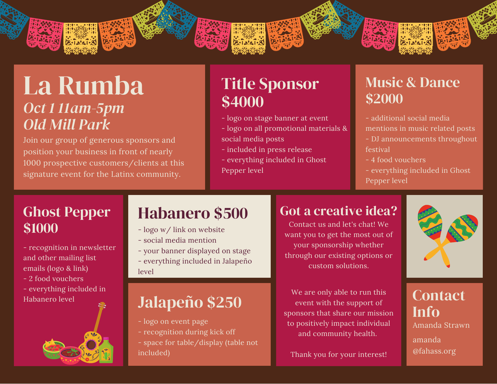

## La Rumba *Oct 1 11am-5pm Old Mill Park*

Join our group of generous sponsors and position your business in front of nearly 1000 prospective customers/clients at this signature event for the Latinx community.

## Title Sponsor \$4000

- logo on stage banner at event
- logo on all promotional materials & social media posts
- included in press release
- everything included in Ghost Pepper level

#### Music & Dance \$2000

- additional social media mentions in music related posts
- DJ announcements throughout festival
- 4 food vouchers
- everything included in Ghost Pepper level

### Ghost Pepper \$1000

- recognition in newsletter and other mailing list emails (logo & link)

- 2 food vouchers

- everything included in



## Habanero \$500

- logo w/ link on website
- social media mention
- your banner displayed on stage
- everything included in Jalapeño level

## Jalapeño \$250

- logo on event page
- recognition during kick off
- space for table/display (table not included)

#### Got a creative idea?

Contact us and let's chat! We want you to get the most out of your sponsorship whether through our existing options or custom solutions.

We are only able to run this event with the support of sponsors that share our mission to positively impact individual and community health.  $\mathcal{L}$  Habanero level  $\mathcal{L}$  and  $\mathcal{L}$  and  $\mathcal{L}$  are  $\mathcal{L}$  are only able to run this  $\mathcal{L}$  Contact Habanero level and  $\mathcal{L}$ 

Thank you for your interest!



# Info

amanda @fahass.org Amanda Strawn